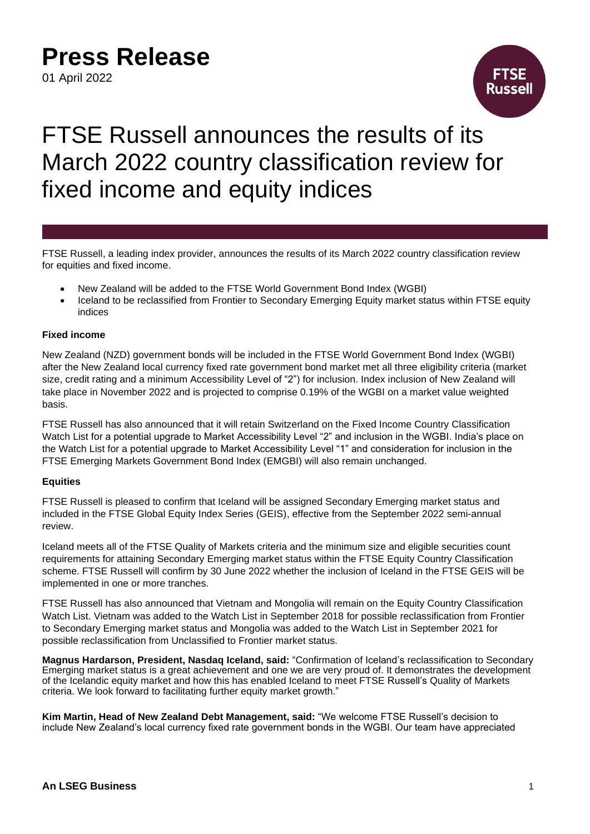01 April 2022



## FTSE Russell announces the results of its March 2022 country classification review for fixed income and equity indices

FTSE Russell, a leading index provider, announces the results of its March 2022 country classification review for equities and fixed income.

- New Zealand will be added to the FTSE World Government Bond Index (WGBI)
- Iceland to be reclassified from Frontier to Secondary Emerging Equity market status within FTSE equity indices

#### **Fixed income**

New Zealand (NZD) government bonds will be included in the FTSE World Government Bond Index (WGBI) after the New Zealand local currency fixed rate government bond market met all three eligibility criteria (market size, credit rating and a minimum Accessibility Level of "2") for inclusion. Index inclusion of New Zealand will take place in November 2022 and is projected to comprise 0.19% of the WGBI on a market value weighted basis.

FTSE Russell has also announced that it will retain Switzerland on the Fixed Income Country Classification Watch List for a potential upgrade to Market Accessibility Level "2" and inclusion in the WGBI. India's place on the Watch List for a potential upgrade to Market Accessibility Level "1" and consideration for inclusion in the FTSE Emerging Markets Government Bond Index (EMGBI) will also remain unchanged.

#### **Equities**

FTSE Russell is pleased to confirm that Iceland will be assigned Secondary Emerging market status and included in the FTSE Global Equity Index Series (GEIS), effective from the September 2022 semi-annual review.

Iceland meets all of the FTSE Quality of Markets criteria and the minimum size and eligible securities count requirements for attaining Secondary Emerging market status within the FTSE Equity Country Classification scheme. FTSE Russell will confirm by 30 June 2022 whether the inclusion of Iceland in the FTSE GEIS will be implemented in one or more tranches.

FTSE Russell has also announced that Vietnam and Mongolia will remain on the Equity Country Classification Watch List. Vietnam was added to the Watch List in September 2018 for possible reclassification from Frontier to Secondary Emerging market status and Mongolia was added to the Watch List in September 2021 for possible reclassification from Unclassified to Frontier market status.

**Magnus Hardarson, President, Nasdaq Iceland, said:** "Confirmation of Iceland's reclassification to Secondary Emerging market status is a great achievement and one we are very proud of. It demonstrates the development of the Icelandic equity market and how this has enabled Iceland to meet FTSE Russell's Quality of Markets criteria. We look forward to facilitating further equity market growth."

**Kim Martin, Head of New Zealand Debt Management, said:** "We welcome FTSE Russell's decision to include New Zealand's local currency fixed rate government bonds in the WGBI. Our team have appreciated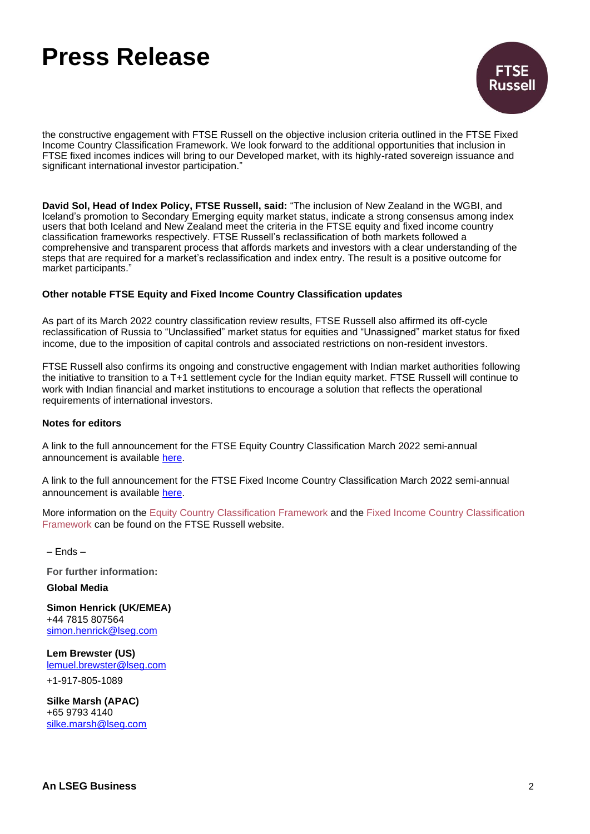

the constructive engagement with FTSE Russell on the objective inclusion criteria outlined in the FTSE Fixed Income Country Classification Framework. We look forward to the additional opportunities that inclusion in FTSE fixed incomes indices will bring to our Developed market, with its highly-rated sovereign issuance and significant international investor participation."

**David Sol, Head of Index Policy, FTSE Russell, said:** "The inclusion of New Zealand in the WGBI, and Iceland's promotion to Secondary Emerging equity market status, indicate a strong consensus among index users that both Iceland and New Zealand meet the criteria in the FTSE equity and fixed income country classification frameworks respectively. FTSE Russell's reclassification of both markets followed a comprehensive and transparent process that affords markets and investors with a clear understanding of the steps that are required for a market's reclassification and index entry. The result is a positive outcome for market participants."

#### **Other notable FTSE Equity and Fixed Income Country Classification updates**

As part of its March 2022 country classification review results, FTSE Russell also affirmed its off-cycle reclassification of Russia to "Unclassified" market status for equities and "Unassigned" market status for fixed income, due to the imposition of capital controls and associated restrictions on non-resident investors.

FTSE Russell also confirms its ongoing and constructive engagement with Indian market authorities following the initiative to transition to a T+1 settlement cycle for the Indian equity market. FTSE Russell will continue to work with Indian financial and market institutions to encourage a solution that reflects the operational requirements of international investors.

#### **Notes for editors**

A link to the full announcement for the FTSE Equity Country Classification March 2022 semi-annual announcement is available [here.](https://research.ftserussell.com/products/downloads/FTSE_Interim_Country_Classification_Review_2022.pdf)

A link to the full announcement for the FTSE Fixed Income Country Classification March 2022 semi-annual announcement is available [here.](https://research.ftserussell.com/products/downloads/Fixed_Income_Country_Classification_March_2022_Results.pdf)

More information on the Equity Country [Classification](https://www.ftserussell.com/equity-country-classification) Framework and the Fixed Income Country [Classification](https://www.ftserussell.com/fixed-income-country-classification) [Framework](https://www.ftserussell.com/fixed-income-country-classification) can be found on the FTSE Russell website.

– Ends –

**For further information:**

#### **Global Media**

**Simon Henrick (UK/EMEA)** +44 7815 807564 [simon.henrick@lseg.com](mailto:simon.henrick@lseg.com)

**Lem Brewster (US)** [lemuel.brewster@lseg.com](mailto:lemuel.brewster@lseg.com) +1-917-805-1089

**Silke Marsh (APAC)** +65 9793 4140 [silke.marsh@lseg.com](mailto:silke.marsh@lseg.com)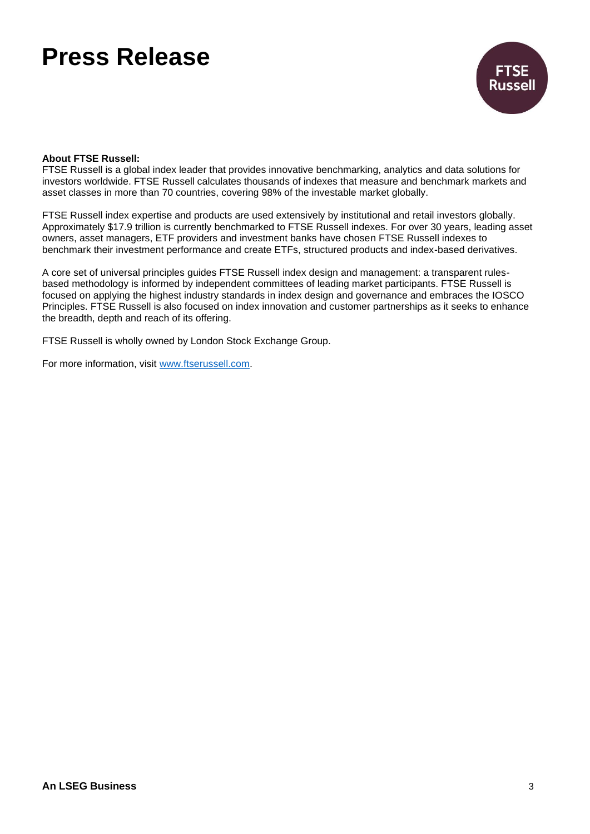

#### **About FTSE Russell:**

FTSE Russell is a global index leader that provides innovative benchmarking, analytics and data solutions for investors worldwide. FTSE Russell calculates thousands of indexes that measure and benchmark markets and asset classes in more than 70 countries, covering 98% of the investable market globally.

FTSE Russell index expertise and products are used extensively by institutional and retail investors globally. Approximately \$17.9 trillion is currently benchmarked to FTSE Russell indexes. For over 30 years, leading asset owners, asset managers, ETF providers and investment banks have chosen FTSE Russell indexes to benchmark their investment performance and create ETFs, structured products and index-based derivatives.

A core set of universal principles guides FTSE Russell index design and management: a transparent rulesbased methodology is informed by independent committees of leading market participants. FTSE Russell is focused on applying the highest industry standards in index design and governance and embraces the IOSCO Principles. FTSE Russell is also focused on index innovation and customer partnerships as it seeks to enhance the breadth, depth and reach of its offering.

FTSE Russell is wholly owned by London Stock Exchange Group.

For more information, visit [www.ftserussell.com.](http://www.ftserussell.com/)